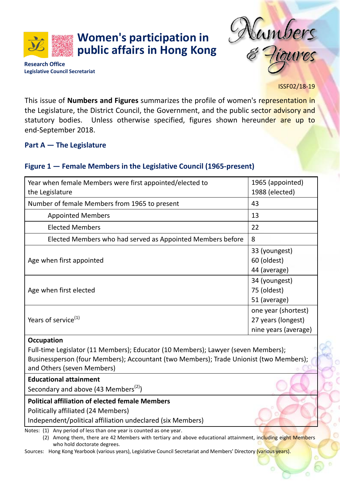**Women's participation in public affairs in Hong Kong** ambers

**Research Office Legislative Council Secretariat**

ISSF02/18-19

This issue of **Numbers and Figures** summarizes the profile of women's representation in the Legislature, the District Council, the Government, and the public sector advisory and statutory bodies. Unless otherwise specified, figures shown hereunder are up to end-September 2018.

### **Part A — The Legislature**

## **Figure 1 — Female Members in the Legislative Council (1965-present)**

| Year when female Members were first appointed/elected to   | 1965 (appointed)     |
|------------------------------------------------------------|----------------------|
| the Legislature                                            | 1988 (elected)       |
| Number of female Members from 1965 to present              | 43                   |
| <b>Appointed Members</b>                                   | 13                   |
| <b>Elected Members</b>                                     | 22                   |
| Elected Members who had served as Appointed Members before | 8                    |
|                                                            | 33 (youngest)        |
| Age when first appointed                                   | 60 (oldest)          |
|                                                            | 44 (average)         |
|                                                            | 34 (youngest)        |
| Age when first elected                                     | 75 (oldest)          |
|                                                            | 51 (average)         |
|                                                            | one year (shortest)  |
| Years of service <sup>(1)</sup>                            | 27 years (longest)   |
|                                                            | nine years (average) |
|                                                            |                      |

#### **Occupation**

Full-time Legislator (11 Members); Educator (10 Members); Lawyer (seven Members); Businessperson (four Members); Accountant (two Members); Trade Unionist (two Members); and Others (seven Members)

#### **Educational attainment**

Secondary and above (43 Members<sup>(2)</sup>)

### **Political affiliation of elected female Members**

Politically affiliated (24 Members)

Independent/political affiliation undeclared (six Members)

Notes: (1) Any period of less than one year is counted as one year.

(2) Among them, there are 42 Members with tertiary and above educational attainment, including eight Members who hold doctorate degrees.

Sources: Hong Kong Yearbook (various years), Legislative Council Secretariat and Members' Directory (various years).

e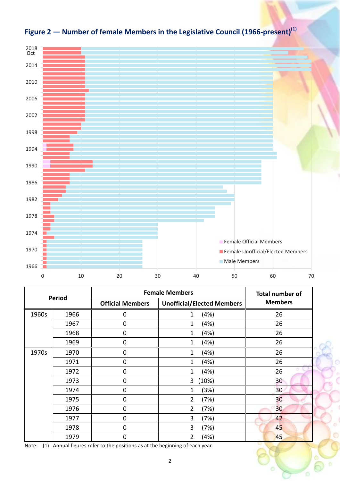

|  |  | Figure 2 – Number of female Members in the Legislative Council (1966-present) $^{(1)}$ |
|--|--|----------------------------------------------------------------------------------------|
|  |  |                                                                                        |

| <b>Period</b> |      | <b>Female Members</b>   | <b>Total number of</b>            |                |
|---------------|------|-------------------------|-----------------------------------|----------------|
|               |      | <b>Official Members</b> | <b>Unofficial/Elected Members</b> | <b>Members</b> |
| 1960s         | 1966 | 0                       | (4%)<br>1                         | 26             |
|               | 1967 | $\mathbf 0$             | (4%)<br>1                         | 26             |
|               | 1968 | 0                       | (4%)<br>1                         | 26             |
|               | 1969 | $\boldsymbol{0}$        | (4%)<br>1                         | 26             |
| 1970s         | 1970 | $\overline{0}$          | (4%)<br>1                         | 26             |
|               | 1971 | 0                       | (4%)<br>1                         | 26             |
|               | 1972 | $\mathbf 0$             | (4%)<br>1                         | 26             |
|               | 1973 | $\mathbf 0$             | (10%)<br>3                        | 30             |
|               | 1974 | $\mathbf 0$             | (3%)<br>1                         | 30             |
|               | 1975 | $\mathbf 0$             | $\overline{2}$<br>(7%)            | 30             |
|               | 1976 | $\pmb{0}$               | 2<br>(7%)                         | 30             |
|               | 1977 | $\mathbf 0$             | 3<br>(7%)                         | 42             |
|               | 1978 | $\mathbf 0$             | 3<br>(7%)                         | 45             |
|               | 1979 | 0                       | 2<br>(4%)                         | 45             |

Note: (1) Annual figures refer to the positions as at the beginning of each year.

n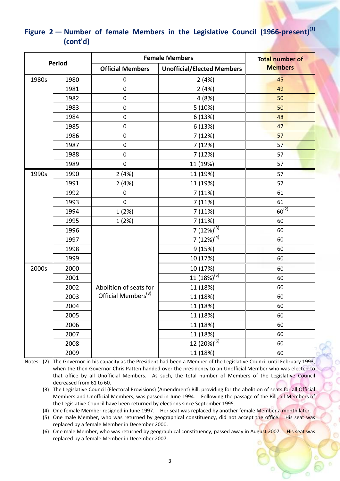|       |        | <b>Female Members</b>           | <b>Total number of</b>            |                |
|-------|--------|---------------------------------|-----------------------------------|----------------|
|       | Period | <b>Official Members</b>         | <b>Unofficial/Elected Members</b> | <b>Members</b> |
| 1980s | 1980   | $\pmb{0}$                       | 2(4%)                             | 45             |
|       | 1981   | $\boldsymbol{0}$                | 2(4%)                             | 49             |
|       | 1982   | $\boldsymbol{0}$                | 4 (8%)                            | 50             |
|       | 1983   | $\pmb{0}$                       | 5(10%)                            | 50             |
|       | 1984   | $\pmb{0}$                       | 6(13%)                            | 48             |
|       | 1985   | $\pmb{0}$                       | 6 (13%)                           | 47             |
|       | 1986   | $\pmb{0}$                       | 7 (12%)                           | 57             |
|       | 1987   | $\pmb{0}$                       | 7 (12%)                           | 57             |
|       | 1988   | $\pmb{0}$                       | 7 (12%)                           | 57             |
|       | 1989   | $\boldsymbol{0}$                | 11 (19%)                          | 57             |
| 1990s | 1990   | 2(4%)                           | 11 (19%)                          | 57             |
|       | 1991   | 2(4%)                           | 11 (19%)                          | 57             |
|       | 1992   | $\mathbf 0$                     | 7(11%)                            | 61             |
|       | 1993   | $\boldsymbol{0}$                | 7 (11%)                           | 61             |
|       | 1994   | 1(2%)                           | 7 (11%)                           | $60^{(2)}$     |
|       | 1995   | 1(2%)                           | 7 (11%)                           | 60             |
|       | 1996   |                                 | $7(12%)^{(3)}$                    | 60             |
|       | 1997   |                                 | 7 $(12\sqrt{9})^{(4)}$            | 60             |
|       | 1998   |                                 | 9 (15%)                           | 60             |
|       | 1999   |                                 | 10 (17%)                          | 60             |
| 2000s | 2000   |                                 | 10 (17%)                          | 60             |
|       | 2001   |                                 | $11(18\%)^{(5)}$                  | 60             |
|       | 2002   | Abolition of seats for          | 11 (18%)                          | 60             |
|       | 2003   | Official Members <sup>(3)</sup> | 11 (18%)                          | 60             |
|       | 2004   |                                 | 11 (18%)                          | 60             |
|       | 2005   |                                 | 11 (18%)                          | 60             |
|       | 2006   |                                 | 11 (18%)                          | 60             |
|       | 2007   |                                 | 11 (18%)                          | 60             |
|       | 2008   |                                 | $12(20%)^{(6)}$                   | 60             |
|       | 2009   |                                 | 11 (18%)                          | 60             |

# Figure 2 – Number of female Members in the Legislative Council (1966-present)<sup>(1)</sup> **(cont'd)**

Notes: (2) The Governor in his capacity as the President had been a Member of the Legislative Council until February 1993, when the then Governor Chris Patten handed over the presidency to an Unofficial Member who was elected to that office by all Unofficial Members. As such, the total number of Members of the Legislative Council decreased from 61 to 60.

(3) The Legislative Council (Electoral Provisions) (Amendment) Bill, providing for the abolition of seats for all Official Members and Unofficial Members, was passed in June 1994. Following the passage of the Bill, all Members of the Legislative Council have been returned by elections since September 1995.

(4) One female Member resigned in June 1997. Her seat was replaced by another female Member a month later.

(5) One male Member, who was returned by geographical constituency, did not accept the office. His seat was replaced by a female Member in December 2000.

(6) One male Member, who was returned by geographical constituency, passed away in August 2007. His seat was replaced by a female Member in December 2007.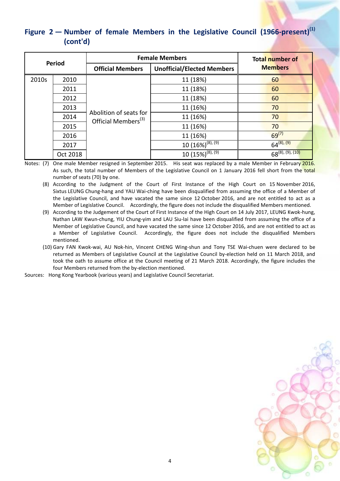# Figure 2 – Number of female Members in the Legislative Council (1966-present)<sup>(1)</sup> **(cont'd)**

| Period |          | <b>Female Members</b>                                        | <b>Total number of</b><br><b>Members</b> |                       |
|--------|----------|--------------------------------------------------------------|------------------------------------------|-----------------------|
|        |          | <b>Unofficial/Elected Members</b><br><b>Official Members</b> |                                          |                       |
| 2010s  | 2010     |                                                              | 11 (18%)                                 | 60                    |
|        | 2011     |                                                              | 11 (18%)                                 | 60                    |
|        | 2012     |                                                              | 11 (18%)                                 | 60                    |
|        | 2013     |                                                              | 11 (16%)                                 | 70                    |
|        | 2014     | Abolition of seats for<br>Official Members <sup>(3)</sup>    | 11 (16%)                                 | 70                    |
|        | 2015     |                                                              | 11 (16%)                                 | 70                    |
|        | 2016     |                                                              | 11 (16%)                                 | $69^{(7)}$            |
|        | 2017     |                                                              | $10(16\%)^{(8), (9)}$                    | $64^{(8), (9)}$       |
|        | Oct 2018 |                                                              | $10(15\%)^{(8), (9)}$                    | $68^{(8), (9), (10)}$ |

Notes: (7) One male Member resigned in September 2015. His seat was replaced by a male Member in February 2016. As such, the total number of Members of the Legislative Council on 1 January 2016 fell short from the total number of seats (70) by one.

(8) According to the Judgment of the Court of First Instance of the High Court on 15 November 2016, Sixtus LEUNG Chung-hang and YAU Wai-ching have been disqualified from assuming the office of a Member of the Legislative Council, and have vacated the same since 12 October 2016, and are not entitled to act as a Member of Legislative Council. Accordingly, the figure does not include the disqualified Members mentioned.

(9) According to the Judgement of the Court of First Instance of the High Court on 14 July 2017, LEUNG Kwok-hung, Nathan LAW Kwun-chung, YIU Chung-yim and LAU Siu-lai have been disqualified from assuming the office of a Member of Legislative Council, and have vacated the same since 12 October 2016, and are not entitled to act as a Member of Legislative Council. Accordingly, the figure does not include the disqualified Members mentioned.

(10) Gary FAN Kwok-wai, AU Nok-hin, Vincent CHENG Wing-shun and Tony TSE Wai-chuen were declared to be returned as Members of Legislative Council at the Legislative Council by-election held on 11 March 2018, and took the oath to assume office at the Council meeting of 21 March 2018. Accordingly, the figure includes the four Members returned from the by-election mentioned.

Sources: Hong Kong Yearbook (various years) and Legislative Council Secretariat.

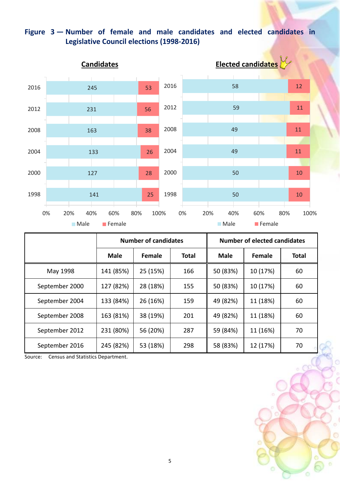# **Figure 3 — Number of female and male candidates and elected candidates in Legislative Council elections (1998-2016)**



|                | <b>Number of candidates</b> |               |              |             | <b>Number of elected candidates</b> |              |
|----------------|-----------------------------|---------------|--------------|-------------|-------------------------------------|--------------|
|                | <b>Male</b>                 | <b>Female</b> | <b>Total</b> | <b>Male</b> | <b>Female</b>                       | <b>Total</b> |
| May 1998       | 141 (85%)                   | 25 (15%)      | 166          | 50 (83%)    | 10 (17%)                            | 60           |
| September 2000 | 127 (82%)                   | 28 (18%)      | 155          | 50 (83%)    | 10 (17%)                            | 60           |
| September 2004 | 133 (84%)                   | 26 (16%)      | 159          | 49 (82%)    | 11 (18%)                            | 60           |
| September 2008 | 163 (81%)                   | 38 (19%)      | 201          | 49 (82%)    | 11 (18%)                            | 60           |
| September 2012 | 231 (80%)                   | 56 (20%)      | 287          | 59 (84%)    | 11 (16%)                            | 70           |
| September 2016 | 245 (82%)                   | 53 (18%)      | 298          | 58 (83%)    | 12 (17%)                            | 70           |

Source: Census and Statistics Department.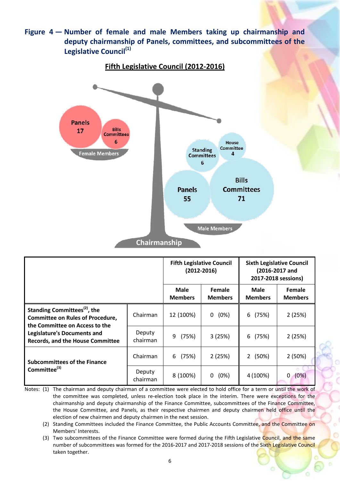**Figure 4 — Number of female and male Members taking up chairmanship and deputy chairmanship of Panels, committees, and subcommittees of the Legislative Council(1)**



|                                                                                                                       |                           | <b>Fifth Legislative Council</b> | $(2012 - 2016)$                 | <b>Sixth Legislative Council</b><br>(2016-2017 and<br>2017-2018 sessions) |                                 |
|-----------------------------------------------------------------------------------------------------------------------|---------------------------|----------------------------------|---------------------------------|---------------------------------------------------------------------------|---------------------------------|
|                                                                                                                       |                           | <b>Male</b><br><b>Members</b>    | <b>Female</b><br><b>Members</b> | Male<br><b>Members</b>                                                    | <b>Female</b><br><b>Members</b> |
| Standing Committees <sup>(2)</sup> , the<br><b>Committee on Rules of Procedure,</b><br>the Committee on Access to the | Chairman                  | 12 (100%)                        | (0%)<br>0                       | (75%)<br>6                                                                | 2(25%)                          |
| <b>Legislature's Documents and</b><br><b>Records, and the House Committee</b>                                         | <b>Deputy</b><br>chairman | 9<br>(75%)                       | 3(25%)                          | (75%)<br>6                                                                | 2(25%)                          |
| <b>Subcommittees of the Finance</b>                                                                                   | Chairman                  | (75%)<br>6                       | 2(25%)                          | $\overline{2}$<br>(50%)                                                   | 2(50%)                          |
| Committee <sup>(3)</sup>                                                                                              | Deputy<br>chairman        | 8 (100%)                         | (0%)<br>0                       | 4 (100%)                                                                  | (0%)<br>$\mathbf{0}$            |

Notes: (1) The chairman and deputy chairman of a committee were elected to hold office for a term or until the work of the committee was completed, unless re-election took place in the interim. There were exceptions for the chairmanship and deputy chairmanship of the Finance Committee, subcommittees of the Finance Committee, the House Committee, and Panels, as their respective chairmen and deputy chairmen held office until the election of new chairmen and deputy chairmen in the next session.

- (2) Standing Committees included the Finance Committee, the Public Accounts Committee, and the Committee on Members' Interests.
- (3) Two subcommittees of the Finance Committee were formed during the Fifth Legislative Council, and the same number of subcommittees was formed for the 2016-2017 and 2017-2018 sessions of the Sixth Legislative Council taken together.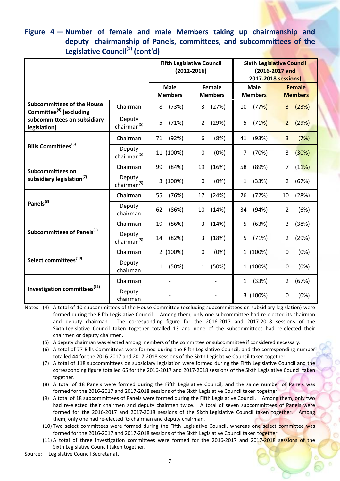# **Figure 4 — Number of female and male Members taking up chairmanship and deputy chairmanship of Panels, committees, and subcommittees of the Legislative Council(1) (cont'd)**

|                                                                          |                                   |                                                           | <b>Fifth Legislative Council</b><br>$(2012 - 2016)$ | <b>Sixth Legislative Council</b><br>(2016-2017 and<br>2017-2018 sessions) |                                 |  |
|--------------------------------------------------------------------------|-----------------------------------|-----------------------------------------------------------|-----------------------------------------------------|---------------------------------------------------------------------------|---------------------------------|--|
|                                                                          |                                   | <b>Male</b><br>Female<br><b>Members</b><br><b>Members</b> |                                                     | <b>Male</b><br><b>Members</b>                                             | <b>Female</b><br><b>Members</b> |  |
| <b>Subcommittees of the House</b><br>Committee <sup>(4)</sup> [excluding | Chairman                          | (73%)<br>8                                                | (27%)<br>3                                          | (77%)<br>10                                                               | 3(23%)                          |  |
| subcommittees on subsidiary<br>legislation]                              | Deputy<br>chairman $(5)$          | 5<br>(71%)                                                | 2<br>(29%)                                          | 5<br>(71%)                                                                | $\overline{2}$<br>(29%)         |  |
|                                                                          | Chairman                          | (92%)<br>71                                               | 6<br>(8%)                                           | 41<br>(93%)                                                               | 3<br>(7%)                       |  |
| Bills Committees <sup>(6)</sup>                                          | Deputy<br>chairman <sup>(5)</sup> | 11 (100%)                                                 | 0<br>(0%)                                           | 7<br>(70%)                                                                | 3<br>(30%)                      |  |
| Subcommittees on                                                         | Chairman                          | (84%)<br>99                                               | 19<br>(16%)                                         | 58<br>(89%)                                                               | (11%)<br>7                      |  |
| subsidiary legislation <sup>(7)</sup>                                    | Deputy<br>chairman <sup>(5)</sup> | 3 (100%)                                                  | (0%)<br>0                                           | (33%)<br>$\mathbf{1}$                                                     | 2<br>(67%)                      |  |
|                                                                          | Chairman                          | (76%)<br>55                                               | (24%)<br>17                                         | 26<br>(72%)                                                               | 10<br>(28%)                     |  |
| Panels <sup>(8)</sup>                                                    | Deputy<br>chairman                | 62<br>(86%)                                               | 10<br>(14%)                                         | 34<br>(94%)                                                               | $\overline{2}$<br>(6%)          |  |
|                                                                          | Chairman                          | 19<br>(86%)                                               | 3<br>(14%)                                          | 5<br>(63%)                                                                | 3<br>(38%)                      |  |
| Subcommittees of Panels <sup>(9)</sup>                                   | Deputy<br>chairman <sup>(5)</sup> | (82%)<br>14                                               | 3<br>(18%)                                          | 5<br>(71%)                                                                | 2<br>(29%)                      |  |
|                                                                          | Chairman                          | 2 (100%)                                                  | (0%)<br>0                                           | 1 (100%)                                                                  | $\mathbf 0$<br>(0%)             |  |
| Select committees <sup>(10)</sup>                                        | Deputy<br>chairman                | (50%)<br>$\mathbf{1}$                                     | (50%)<br>1                                          | 1 (100%)                                                                  | (0%)<br>0                       |  |
|                                                                          | Chairman                          | $\overline{\phantom{a}}$                                  | $\overline{\phantom{0}}$                            | (33%)<br>$\mathbf{1}$                                                     | 2<br>(67%)                      |  |
| Investigation committees <sup>(11)</sup>                                 | Deputy<br>chairman                |                                                           |                                                     | 3 (100%)                                                                  | $\mathbf 0$<br>(0%)             |  |

Notes: (4) A total of 10 subcommittees of the House Committee (excluding subcommittees on subsidiary legislation) were formed during the Fifth Legislative Council. Among them, only one subcommittee had re-elected its chairman and deputy chairman. The corresponding figure for the 2016-2017 and 2017-2018 sessions of the Sixth Legislative Council taken together totalled 13 and none of the subcommittees had re-elected their chairmen or deputy chairmen.

- (5) A deputy chairman was elected among members of the committee or subcommittee if considered necessary.
- (6) A total of 77 Bills Committees were formed during the Fifth Legislative Council, and the corresponding number totalled 44 for the 2016-2017 and 2017-2018 sessions of the Sixth Legislative Council taken together.
- (7) A total of 118 subcommittees on subsidiary legislation were formed during the Fifth Legislative Council and the corresponding figure totalled 65 for the 2016-2017 and 2017-2018 sessions of the Sixth Legislative Council taken together.
- (8) A total of 18 Panels were formed during the Fifth Legislative Council, and the same number of Panels was formed for the 2016-2017 and 2017-2018 sessions of the Sixth Legislative Council taken together.
- (9) A total of 18 subcommittees of Panels were formed during the Fifth Legislative Council. Among them, only two had re-elected their chairmen and deputy chairmen twice. A total of seven subcommittees of Panels were formed for the 2016-2017 and 2017-2018 sessions of the Sixth Legislative Council taken together. Among them, only one had re-elected its chairman and deputy chairman.
- (10) Two select committees were formed during the Fifth Legislative Council, whereas one select committee was formed for the 2016-2017 and 2017-2018 sessions of the Sixth Legislative Council taken together.
- (11) A total of three investigation committees were formed for the 2016-2017 and 2017-2018 sessions of the Sixth Legislative Council taken together.
- Source: Legislative Council Secretariat.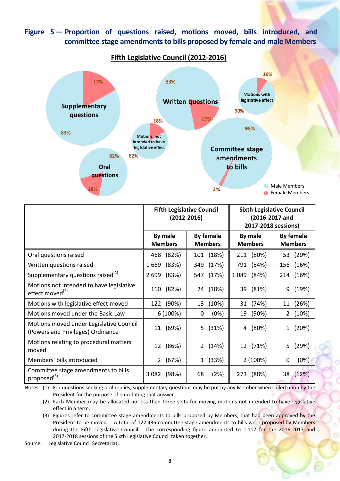## **Figure 5 — Proportion of questions raised, motions moved, bills introduced, and committee stage amendments to bills proposed by female and male Members**

![](_page_7_Figure_1.jpeg)

|                                               | <b>Fifth Legislative Council</b><br>$(2012 - 2016)$ |                       | <b>Sixth Legislative Council</b><br>(2016-2017 and<br>2017-2018 sessions) |                         |
|-----------------------------------------------|-----------------------------------------------------|-----------------------|---------------------------------------------------------------------------|-------------------------|
|                                               | By male                                             | <b>By female</b>      | By male                                                                   | <b>By female</b>        |
|                                               | <b>Members</b>                                      | <b>Members</b>        | <b>Members</b>                                                            | <b>Members</b>          |
| Oral questions raised                         | (82%)<br>468                                        | 101 (18%)             | 211 (80%)                                                                 | 53 (20%)                |
| Written questions raised                      | (83%)                                               | (17%)                 | (84%)                                                                     | (16%)                   |
|                                               | 1669                                                | 349                   | 791                                                                       | 156                     |
| Supplementary questions raised <sup>(1)</sup> | (83%)                                               | (17%)                 | (84%)                                                                     | (16%)                   |
|                                               | 2 6 9 9                                             | 547                   | 1 0 8 9                                                                   | 214                     |
| Motions not intended to have legislative      | (82%)                                               | (18%)                 | (81%)                                                                     | (19%)                   |
| effect moved <sup>(2)</sup>                   | 110                                                 | 24                    | 39                                                                        | 9                       |
| Motions with legislative effect moved         | (90%)                                               | 13                    | (74%)                                                                     | (26%)                   |
|                                               | 122                                                 | (10%)                 | 31                                                                        | 11                      |
| Motions moved under the Basic Law             | 6 (100%)                                            | (0%)<br>0             | (90%)<br>19                                                               | $\overline{2}$<br>(10%) |
| Motions moved under Legislative Council       | (69%)                                               | 5                     | (80%)                                                                     | (20%)                   |
| (Powers and Privileges) Ordinance             | 11                                                  | (31%)                 | 4                                                                         | 1                       |
| Motions relating to procedural matters        | (86%)                                               | $\overline{2}$        | 12 (71%)                                                                  | 5                       |
| moved                                         | 12                                                  | (14%)                 |                                                                           | (29%)                   |
| Members' bills introduced                     | (67%)<br>$\mathbf{2}^{\prime}$                      | (33%)<br>$\mathbf{1}$ | 2 (100%)                                                                  | (0%)<br>$\mathbf{0}$    |
| Committee stage amendments to bills           | (98%)                                               | (2%)                  | (88%)                                                                     | 38                      |
| proposed <sup>(3)</sup>                       | 3 0 8 2                                             | 68                    | 273                                                                       | (12%)                   |

Notes: (1) For questions seeking oral replies, supplementary questions may be put by any Member when called upon by the President for the purpose of elucidating that answer.

(2) Each Member may be allocated no less than three slots for moving motions not intended to have legislative effect in a term.

(3) Figures refer to committee stage amendments to bills proposed by Members, that had been approved by the President to be moved. A total of 122 436 committee stage amendments to bills were proposed by Members during the Fifth Legislative Council. The corresponding figure amounted to 1117 for the 2016-2017 and 2017-2018 sessions of the Sixth Legislative Council taken together.

Source: Legislative Council Secretariat.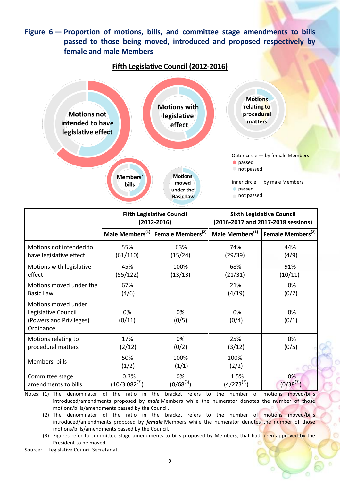## **Figure 6 — Proportion of motions, bills, and committee stage amendments to bills passed to those being moved, introduced and proposed respectively by female and male Members**

![](_page_8_Figure_1.jpeg)

|                                                                                    |                    | <b>Fifth Legislative Council</b><br>$(2012 - 2016)$       |                             | <b>Sixth Legislative Council</b><br>(2016-2017 and 2017-2018 sessions) |  |
|------------------------------------------------------------------------------------|--------------------|-----------------------------------------------------------|-----------------------------|------------------------------------------------------------------------|--|
|                                                                                    |                    | Male Members <sup>(1)</sup> Female Members <sup>(2)</sup> | Male Members <sup>(1)</sup> | Female Members <sup>(2)</sup>                                          |  |
| Motions not intended to                                                            | 55%                | 63%                                                       | 74%                         | 44%                                                                    |  |
| have legislative effect                                                            | (61/110)           | (15/24)                                                   | (29/39)                     | (4/9)                                                                  |  |
| Motions with legislative                                                           | 45%                | 100%                                                      | 68%                         | 91%                                                                    |  |
| effect                                                                             | (55/122)           | (13/13)                                                   | (21/31)                     | (10/11)                                                                |  |
| Motions moved under the                                                            | 67%                |                                                           | 21%                         | 0%                                                                     |  |
| <b>Basic Law</b>                                                                   | (4/6)              |                                                           | (4/19)                      | (0/2)                                                                  |  |
| Motions moved under<br>Legislative Council<br>(Powers and Privileges)<br>Ordinance | 0%<br>(0/11)       | 0%<br>(0/5)                                               | 0%<br>(0/4)                 | 0%<br>(0/1)                                                            |  |
| Motions relating to                                                                | 17%                | 0%                                                        | 25%                         | 0%                                                                     |  |
| procedural matters                                                                 | (2/12)             | (0/2)                                                     | (3/12)                      | (0/5)                                                                  |  |
| Members' bills                                                                     | 50%<br>(1/2)       | 100%<br>(1/1)                                             | 100%<br>(2/2)               |                                                                        |  |
| Committee stage                                                                    | 0.3%               | 0%                                                        | 1.5%                        | 0%                                                                     |  |
| amendments to bills                                                                | $(10/3 082^{(3)})$ | $(0/68^{(3)})$                                            | $(4/273^{(3)})$             | $(0/38^{(3)})$                                                         |  |

Notes: (1) The denominator of the ratio in the bracket refers to the number of motions moved/bills introduced/amendments proposed by *male* Members while the numerator denotes the number of those motions/bills/amendments passed by the Council.

(2) The denominator of the ratio in the bracket refers to the number of motions moved/bills introduced/amendments proposed by *female* Members while the numerator denotes the number of those motions/bills/amendments passed by the Council.

(3) Figures refer to committee stage amendments to bills proposed by Members, that had been approved by the President to be moved.

Source: Legislative Council Secretariat.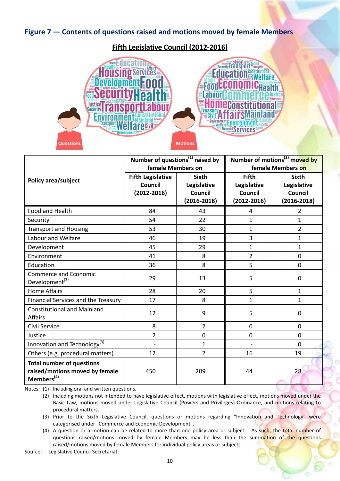## **Figure 7 — Contents of questions raised and motions moved by female Members**

### **Fifth Legislative Council (2012-2016)**

![](_page_9_Picture_2.jpeg)

|                                          | Number of questions <sup>(1)</sup> raised by |                 | Number of motions <sup>(2)</sup> moved by |                   |  |
|------------------------------------------|----------------------------------------------|-----------------|-------------------------------------------|-------------------|--|
|                                          | female Members on                            |                 |                                           | female Members on |  |
| Policy area/subject                      | <b>Fifth Legislative</b>                     | <b>Sixth</b>    | <b>Fifth</b>                              | <b>Sixth</b>      |  |
|                                          | <b>Council</b>                               | Legislative     | Legislative                               | Legislative       |  |
|                                          | $(2012 - 2016)$                              | Council         | Council                                   | Council           |  |
|                                          |                                              | $(2016 - 2018)$ | $(2012 - 2016)$                           | $(2016 - 2018)$   |  |
| Food and Health                          | 84                                           | 43              | 4                                         | $\overline{2}$    |  |
| Security                                 | 54                                           | 22              | $\mathbf{1}$                              | $\mathbf{1}$      |  |
| <b>Transport and Housing</b>             | 53                                           | 30              | $\mathbf{1}$                              | $\overline{2}$    |  |
| Labour and Welfare                       | 46                                           | 19              | 3                                         | $\mathbf{1}$      |  |
| Development                              | 45                                           | 29              | $\mathbf{1}$                              | $\mathbf{1}$      |  |
| Environment                              | 41                                           | 8               | $\overline{2}$                            | $\overline{0}$    |  |
| Education                                | 36                                           | 8               | 5                                         | $\overline{0}$    |  |
| Commerce and Economic                    | 29                                           | 13              | 5                                         | 0                 |  |
| Development <sup>(3)</sup>               |                                              |                 |                                           |                   |  |
| <b>Home Affairs</b>                      | 28                                           | 20              | 5                                         | $\mathbf{1}$      |  |
| Financial Services and the Treasury      | 17                                           | 8               | $\mathbf{1}$                              | $\mathbf{1}$      |  |
| <b>Constitutional and Mainland</b>       | 12                                           | 9               | 5                                         | 0                 |  |
| <b>Affairs</b>                           |                                              |                 |                                           |                   |  |
| Civil Service                            | 8                                            | $\overline{2}$  | 0                                         | 0                 |  |
| Justice                                  | $\overline{2}$                               | 0               | 0                                         | $\Omega$          |  |
| Innovation and Technology <sup>(3)</sup> | $\blacksquare$                               | 1               |                                           | $\Omega$          |  |
| Others (e.g. procedural matters)         | 12                                           | $\overline{2}$  | 16                                        | 19                |  |
| <b>Total number of questions</b>         |                                              |                 |                                           |                   |  |
| raised/motions moved by female           | 450                                          | 209             | 44                                        | 28                |  |
| Members <sup>(4)</sup>                   |                                              |                 |                                           |                   |  |

Notes: (1) Including oral and written questions.

(2) Including motions not intended to have legislative effect, motions with legislative effect, motions moved under the Basic Law, motions moved under Legislative Council (Powers and Privileges) Ordinance, and motions relating to procedural matters.

(3) Prior to the Sixth Legislative Council, questions or motions regarding "Innovation and Technology" were categorised under "Commerce and Economic Development".

(4) A question or a motion can be related to more than one policy area or subject. As such, the total number of questions raised/motions moved by female Members may be less than the summation of the questions raised/motions moved by female Members for individual policy areas or subjects.

Source: Legislative Council Secretariat.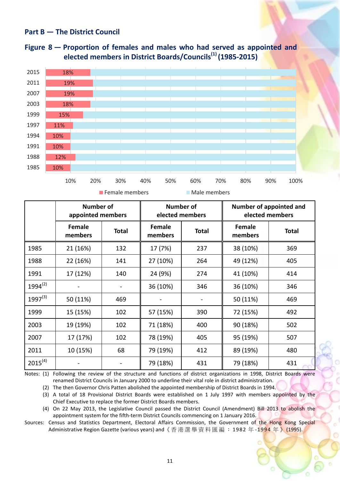### **Part B — The District Council**

![](_page_10_Figure_1.jpeg)

![](_page_10_Figure_2.jpeg)

**Figure 1** Female members **Male members** 

|              | Number of<br>appointed members |              | <b>Number of</b><br>elected members |              |                          | Number of appointed and<br>elected members |
|--------------|--------------------------------|--------------|-------------------------------------|--------------|--------------------------|--------------------------------------------|
|              | Female<br>members              | <b>Total</b> | <b>Female</b><br>members            | <b>Total</b> | <b>Female</b><br>members | <b>Total</b>                               |
| 1985         | 21 (16%)                       | 132          | 17 (7%)                             | 237          | 38 (10%)                 | 369                                        |
| 1988         | 22 (16%)                       | 141          | 27 (10%)                            | 264          | 49 (12%)                 | 405                                        |
| 1991         | 17 (12%)                       | 140          | 24 (9%)                             | 274          | 41 (10%)                 | 414                                        |
| $1994^{(2)}$ |                                |              | 36 (10%)                            | 346          | 36 (10%)                 | 346                                        |
| $1997^{(3)}$ | 50 (11%)                       | 469          |                                     |              | 50 (11%)                 | 469                                        |
| 1999         | 15 (15%)                       | 102          | 57 (15%)                            | 390          | 72 (15%)                 | 492                                        |
| 2003         | 19 (19%)                       | 102          | 71 (18%)                            | 400          | 90 (18%)                 | 502                                        |
| 2007         | 17 (17%)                       | 102          | 78 (19%)                            | 405          | 95 (19%)                 | 507                                        |
| 2011         | 10 (15%)                       | 68           | 79 (19%)                            | 412          | 89 (19%)                 | 480                                        |
| $2015^{(4)}$ |                                |              | 79 (18%)                            | 431          | 79 (18%)                 | 431                                        |

Notes: (1) Following the review of the structure and functions of district organizations in 1998, District Boards were renamed District Councils in January 2000 to underline their vital role in district administration.

(2) The then Governor Chris Patten abolished the appointed membership of District Boards in 1994.

(3) A total of 18 Provisional District Boards were established on 1 July 1997 with members appointed by the Chief Executive to replace the former District Boards members.

(4) On 22 May 2013, the Legislative Council passed the District Council (Amendment) Bill 2013 to abolish the appointment system for the fifth-term District Councils commencing on 1 January 2016.

Sources: Census and Statistics Department, Electoral Affairs Commission, the Government of the Hong Kong Special Administrative Region Gazette (various years) and 《香港選舉資料匯編: 1982年-1994年》(1995).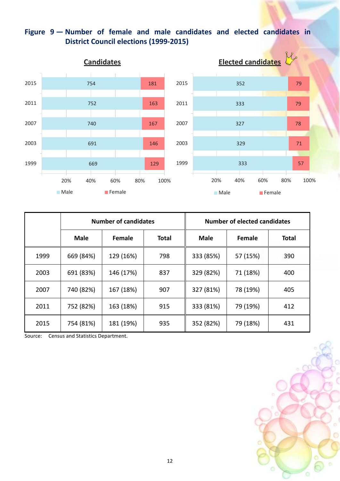# **Figure 9 — Number of female and male candidates and elected candidates in District Council elections (1999-2015)**

![](_page_11_Figure_1.jpeg)

|      | <b>Number of candidates</b> |               |              | <b>Number of elected candidates</b> |          |              |
|------|-----------------------------|---------------|--------------|-------------------------------------|----------|--------------|
|      | <b>Male</b>                 | <b>Female</b> | <b>Total</b> | <b>Male</b>                         | Female   | <b>Total</b> |
| 1999 | 669 (84%)                   | 129 (16%)     | 798          | 333 (85%)                           | 57 (15%) | 390          |
| 2003 | 691 (83%)                   | 146 (17%)     | 837          | 329 (82%)                           | 71 (18%) | 400          |
| 2007 | 740 (82%)                   | 167 (18%)     | 907          | 327 (81%)                           | 78 (19%) | 405          |
| 2011 | 752 (82%)                   | 163 (18%)     | 915          | 333 (81%)                           | 79 (19%) | 412          |
| 2015 | 754 (81%)                   | 181 (19%)     | 935          | 352 (82%)                           | 79 (18%) | 431          |

Source: Census and Statistics Department.

![](_page_11_Figure_4.jpeg)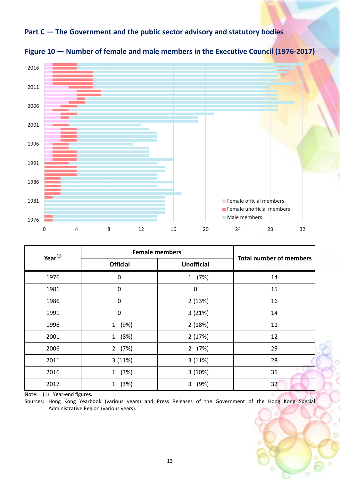## **Part C — The Government and the public sector advisory and statutory bodies**

![](_page_12_Figure_1.jpeg)

![](_page_12_Figure_2.jpeg)

| $Year^{(1)}$ | <b>Female members</b> | <b>Total number of members</b> |    |
|--------------|-----------------------|--------------------------------|----|
|              | <b>Official</b>       | <b>Unofficial</b>              |    |
| 1976         | $\mathbf 0$           | (7%)<br>1                      | 14 |
| 1981         | $\mathbf 0$           | $\mathbf 0$                    | 15 |
| 1986         | $\mathbf 0$           | 2(13%)                         | 16 |
| 1991         | $\mathbf 0$           | 3(21%)                         | 14 |
| 1996         | (9%)<br>$\mathbf{1}$  | 2(18%)                         | 11 |
| 2001         | (8%)<br>$\mathbf{1}$  | 2(17%)                         | 12 |
| 2006         | 2(7%)                 | 2(7%)                          | 29 |
| 2011         | 3(11%)                | 3(11%)                         | 28 |
| 2016         | (3%)<br>$\mathbf{1}$  | 3(10%)                         | 31 |
| 2017         | (3%)<br>1             | (9%)<br>3                      | 32 |

Note: (1) Year-end figures.

Sources: Hong Kong Yearbook (various years) and Press Releases of the Government of the Hong Kong Special Administrative Region (various years).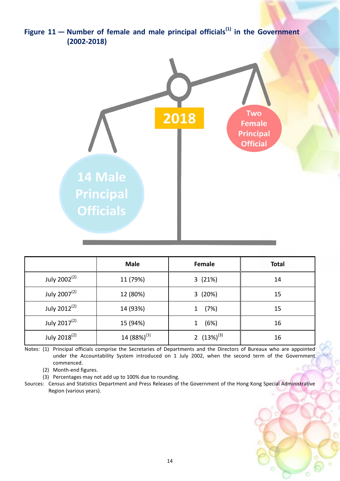![](_page_13_Figure_0.jpeg)

|                          | <b>Male</b>      | Female           | <b>Total</b> |
|--------------------------|------------------|------------------|--------------|
| July 2002 <sup>(2)</sup> | 11 (79%)         | 3(21%)           | 14           |
| July 2007 <sup>(2)</sup> | 12 (80%)         | 3(20%)           | 15           |
| July 2012 <sup>(2)</sup> | 14 (93%)         | (7%)<br>1        | 15           |
| July 2017 <sup>(2)</sup> | 15 (94%)         | (6%)<br>1        | 16           |
| July 2018 <sup>(2)</sup> | 14 $(88%)^{(3)}$ | 2 $(13\%)^{(3)}$ | 16           |

Notes: (1) Principal officials comprise the Secretaries of Departments and the Directors of Bureaux who are appointed under the Accountability System introduced on 1 July 2002, when the second term of the Government commenced.

(2) Month-end figures.

(3) Percentages may not add up to 100% due to rounding.

Sources: Census and Statistics Department and Press Releases of the Government of the Hong Kong Special Administrative Region (various years).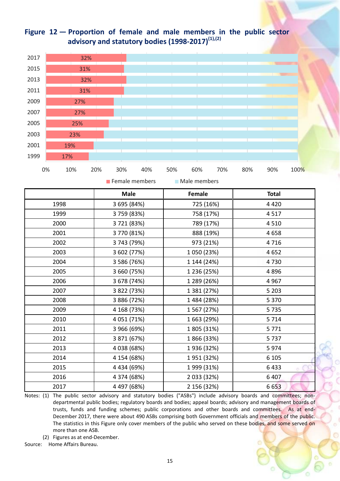# **Figure 12 — Proportion of female and male members in the public sector advisory and statutory bodies (1998-2017) (1),(2)**

![](_page_14_Figure_1.jpeg)

**F** Female members **Male members** 

|      | <b>Male</b> | Female      | <b>Total</b> |
|------|-------------|-------------|--------------|
| 1998 | 3 695 (84%) | 725 (16%)   | 4 4 2 0      |
| 1999 | 3759 (83%)  | 758 (17%)   | 4517         |
| 2000 | 3721 (83%)  | 789 (17%)   | 4 5 1 0      |
| 2001 | 3770 (81%)  | 888 (19%)   | 4658         |
| 2002 | 3 743 (79%) | 973 (21%)   | 4716         |
| 2003 | 3 602 (77%) | 1 050 (23%) | 4 6 5 2      |
| 2004 | 3 586 (76%) | 1 144 (24%) | 4730         |
| 2005 | 3 660 (75%) | 1 236 (25%) | 4896         |
| 2006 | 3 678 (74%) | 1 289 (26%) | 4 9 6 7      |
| 2007 | 3 822 (73%) | 1 381 (27%) | 5 2 0 3      |
| 2008 | 3 886 (72%) | 1 484 (28%) | 5 3 7 0      |
| 2009 | 4 168 (73%) | 1 567 (27%) | 5735         |
| 2010 | 4 051 (71%) | 1 663 (29%) | 5 7 1 4      |
| 2011 | 3 966 (69%) | 1 805 (31%) | 5771         |
| 2012 | 3 871 (67%) | 1866 (33%)  | 5737         |
| 2013 | 4 038 (68%) | 1936 (32%)  | 5974         |
| 2014 | 4 154 (68%) | 1951 (32%)  | 6 1 0 5      |
| 2015 | 4 434 (69%) | 1 999 (31%) | 6433         |
| 2016 | 4 374 (68%) | 2 033 (32%) | 6 4 0 7      |
| 2017 | 4 497 (68%) | 2 156 (32%) | 6653         |

Notes: (1) The public sector advisory and statutory bodies ("ASBs") include advisory boards and committees; nondepartmental public bodies; regulatory boards and bodies; appeal boards; advisory and management boards of trusts, funds and funding schemes; public corporations and other boards and committees. As at end-December 2017, there were about 490 ASBs comprising both Government officials and members of the public. The statistics in this Figure only cover members of the public who served on these bodies, and some served on more than one ASB.

(2) Figures as at end-December.

Source: Home Affairs Bureau.